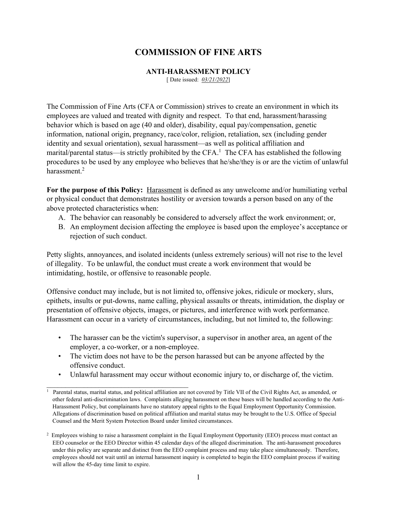# **COMMISSION OF FINE ARTS**

**ANTI-HARASSMENT POLICY**

[ Date issued: *03/21/2022*]

The Commission of Fine Arts (CFA or Commission) strives to create an environment in which its employees are valued and treated with dignity and respect. To that end, harassment/harassing behavior which is based on age (40 and older), disability, equal pay/compensation, genetic information, national origin, pregnancy, race/color, religion, retaliation, sex (including gender identity and sexual orientation), sexual harassment—as well as political affiliation and marital/parental status—is strictly prohibited by the CFA.<sup>1</sup> The CFA has established the following procedures to be used by any employee who believes that he/she/they is or are the victim of unlawful harassment.<sup>2</sup>

**For the purpose of this Policy:** Harassment is defined as any unwelcome and/or humiliating verbal or physical conduct that demonstrates hostility or aversion towards a person based on any of the above protected characteristics when:

- A. The behavior can reasonably be considered to adversely affect the work environment; or,
- B. An employment decision affecting the employee is based upon the employee's acceptance or rejection of such conduct.

Petty slights, annoyances, and isolated incidents (unless extremely serious) will not rise to the level of illegality. To be unlawful, the conduct must create a work environment that would be intimidating, hostile, or offensive to reasonable people.

Offensive conduct may include, but is not limited to, offensive jokes, ridicule or mockery, slurs, epithets, insults or put-downs, name calling, physical assaults or threats, intimidation, the display or presentation of offensive objects, images, or pictures, and interference with work performance. Harassment can occur in a variety of circumstances, including, but not limited to, the following:

- The harasser can be the victim's supervisor, a supervisor in another area, an agent of the employer, a co-worker, or a non-employee.
- The victim does not have to be the person harassed but can be anyone affected by the offensive conduct.
- Unlawful harassment may occur without economic injury to, or discharge of, the victim.

 $\mathcal{L}_\text{max}$  , and the set of the set of the set of the set of the set of the set of the set of the set of the set of the set of the set of the set of the set of the set of the set of the set of the set of the set of the <sup>1</sup> Parental status, marital status, and political affiliation are not covered by Title VII of the Civil Rights Act, as amended, or other federal anti-discrimination laws. Complaints alleging harassment on these bases will be handled according to the Anti-Harassment Policy, but complainants have no statutory appeal rights to the Equal Employment Opportunity Commission. Allegations of discrimination based on political affiliation and marital status may be brought to the U.S. Office of Special Counsel and the Merit System Protection Board under limited circumstances.

<sup>&</sup>lt;sup>2</sup> Employees wishing to raise a harassment complaint in the Equal Employment Opportunity (EEO) process must contact an EEO counselor or the EEO Director within 45 calendar days of the alleged discrimination. The anti-harassment procedures under this policy are separate and distinct from the EEO complaint process and may take place simultaneously. Therefore, employees should not wait until an internal harassment inquiry is completed to begin the EEO complaint process if waiting will allow the 45-day time limit to expire.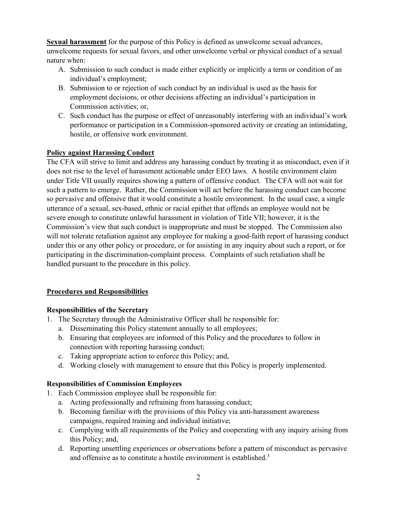**Sexual harassment** for the purpose of this Policy is defined as unwelcome sexual advances, unwelcome requests for sexual favors, and other unwelcome verbal or physical conduct of a sexual nature when:

- A. Submission to such conduct is made either explicitly or implicitly a term or condition of an individual's employment;
- B. Submission to or rejection of such conduct by an individual is used as the basis for employment decisions, or other decisions affecting an individual's participation in Commission activities; or,
- C. Such conduct has the purpose or effect of unreasonably interfering with an individual's work performance or participation in a Commission-sponsored activity or creating an intimidating, hostile, or offensive work environment.

# **Policy against Harassing Conduct**

The CFA will strive to limit and address any harassing conduct by treating it as misconduct, even if it does not rise to the level of harassment actionable under EEO laws. A hostile environment claim under Title VII usually requires showing a pattern of offensive conduct. The CFA will not wait for such a pattern to emerge. Rather, the Commission will act before the harassing conduct can become so pervasive and offensive that it would constitute a hostile environment. In the usual case, a single utterance of a sexual, sex-based, ethnic or racial epithet that offends an employee would not be severe enough to constitute unlawful harassment in violation of Title VII; however, it is the Commission's view that such conduct is inappropriate and must be stopped. The Commission also will not tolerate retaliation against any employee for making a good-faith report of harassing conduct under this or any other policy or procedure, or for assisting in any inquiry about such a report, or for participating in the discrimination-complaint process. Complaints of such retaliation shall be handled pursuant to the procedure in this policy.

# **Procedures and Responsibilities**

# **Responsibilities of the Secretary**

- 1. The Secretary through the Administrative Officer shall be responsible for:
	- a. Disseminating this Policy statement annually to all employees;
	- b. Ensuring that employees are informed of this Policy and the procedures to follow in connection with reporting harassing conduct;
	- c. Taking appropriate action to enforce this Policy; and,
	- d. Working closely with management to ensure that this Policy is properly implemented.

# **Responsibilities of Commission Employees**

- 1. Each Commission employee shall be responsible for:
	- a. Acting professionally and refraining from harassing conduct;
	- b. Becoming familiar with the provisions of this Policy via anti-harassment awareness campaigns, required training and individual initiative;
	- c. Complying with all requirements of the Policy and cooperating with any inquiry arising from this Policy; and,
	- d. Reporting unsettling experiences or observations before a pattern of misconduct as pervasive and offensive as to constitute a hostile environment is established.<sup>3</sup>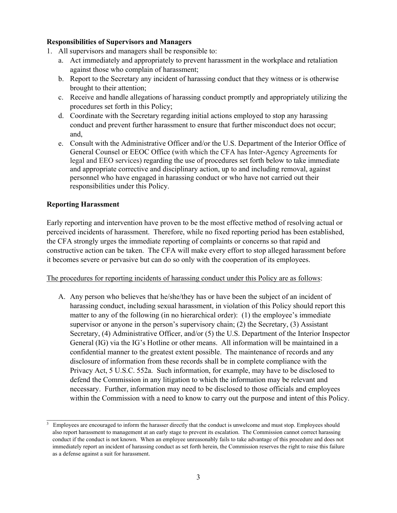#### **Responsibilities of Supervisors and Managers**

- 1. All supervisors and managers shall be responsible to:
	- a. Act immediately and appropriately to prevent harassment in the workplace and retaliation against those who complain of harassment;
	- b. Report to the Secretary any incident of harassing conduct that they witness or is otherwise brought to their attention;
	- c. Receive and handle allegations of harassing conduct promptly and appropriately utilizing the procedures set forth in this Policy;
	- d. Coordinate with the Secretary regarding initial actions employed to stop any harassing conduct and prevent further harassment to ensure that further misconduct does not occur; and,
	- e. Consult with the Administrative Officer and/or the U.S. Department of the Interior Office of General Counsel or EEOC Office (with which the CFA has Inter-Agency Agreements for legal and EEO services) regarding the use of procedures set forth below to take immediate and appropriate corrective and disciplinary action, up to and including removal, against personnel who have engaged in harassing conduct or who have not carried out their responsibilities under this Policy.

#### **Reporting Harassment**

\_\_\_\_\_\_\_\_\_\_\_\_\_\_\_\_\_\_\_\_\_\_\_\_\_\_\_\_\_\_\_\_\_\_\_\_\_\_

Early reporting and intervention have proven to be the most effective method of resolving actual or perceived incidents of harassment. Therefore, while no fixed reporting period has been established, the CFA strongly urges the immediate reporting of complaints or concerns so that rapid and constructive action can be taken. The CFA will make every effort to stop alleged harassment before it becomes severe or pervasive but can do so only with the cooperation of its employees.

#### The procedures for reporting incidents of harassing conduct under this Policy are as follows:

A. Any person who believes that he/she/they has or have been the subject of an incident of harassing conduct, including sexual harassment, in violation of this Policy should report this matter to any of the following (in no hierarchical order): (1) the employee's immediate supervisor or anyone in the person's supervisory chain; (2) the Secretary, (3) Assistant Secretary, (4) Administrative Officer, and/or (5) the U.S. Department of the Interior Inspector General (IG) via the IG's Hotline or other means. All information will be maintained in a confidential manner to the greatest extent possible. The maintenance of records and any disclosure of information from these records shall be in complete compliance with the Privacy Act, 5 U.S.C. 552a. Such information, for example, may have to be disclosed to defend the Commission in any litigation to which the information may be relevant and necessary. Further, information may need to be disclosed to those officials and employees within the Commission with a need to know to carry out the purpose and intent of this Policy.

 $3$  Employees are encouraged to inform the harasser directly that the conduct is unwelcome and must stop. Employees should also report harassment to management at an early stage to prevent its escalation. The Commission cannot correct harassing conduct if the conduct is not known. When an employee unreasonably fails to take advantage of this procedure and does not immediately report an incident of harassing conduct as set forth herein, the Commission reserves the right to raise this failure as a defense against a suit for harassment.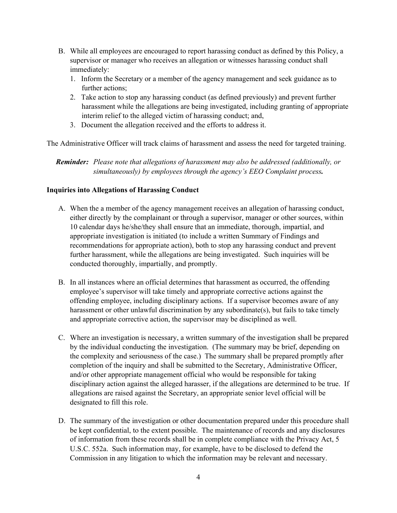- B. While all employees are encouraged to report harassing conduct as defined by this Policy, a supervisor or manager who receives an allegation or witnesses harassing conduct shall immediately:
	- 1. Inform the Secretary or a member of the agency management and seek guidance as to further actions;
	- 2. Take action to stop any harassing conduct (as defined previously) and prevent further harassment while the allegations are being investigated, including granting of appropriate interim relief to the alleged victim of harassing conduct; and,
	- 3. Document the allegation received and the efforts to address it.

The Administrative Officer will track claims of harassment and assess the need for targeted training.

 *Reminder: Please note that allegations of harassment may also be addressed (additionally, or simultaneously) by employees through the agency's EEO Complaint process.* 

#### **Inquiries into Allegations of Harassing Conduct**

- A. When the a member of the agency management receives an allegation of harassing conduct, either directly by the complainant or through a supervisor, manager or other sources, within 10 calendar days he/she/they shall ensure that an immediate, thorough, impartial, and appropriate investigation is initiated (to include a written Summary of Findings and recommendations for appropriate action), both to stop any harassing conduct and prevent further harassment, while the allegations are being investigated. Such inquiries will be conducted thoroughly, impartially, and promptly.
- B. In all instances where an official determines that harassment as occurred, the offending employee's supervisor will take timely and appropriate corrective actions against the offending employee, including disciplinary actions. If a supervisor becomes aware of any harassment or other unlawful discrimination by any subordinate(s), but fails to take timely and appropriate corrective action, the supervisor may be disciplined as well.
- C. Where an investigation is necessary, a written summary of the investigation shall be prepared by the individual conducting the investigation. (The summary may be brief, depending on the complexity and seriousness of the case.) The summary shall be prepared promptly after completion of the inquiry and shall be submitted to the Secretary, Administrative Officer, and/or other appropriate management official who would be responsible for taking disciplinary action against the alleged harasser, if the allegations are determined to be true. If allegations are raised against the Secretary, an appropriate senior level official will be designated to fill this role.
- D. The summary of the investigation or other documentation prepared under this procedure shall be kept confidential, to the extent possible. The maintenance of records and any disclosures of information from these records shall be in complete compliance with the Privacy Act, 5 U.S.C. 552a. Such information may, for example, have to be disclosed to defend the Commission in any litigation to which the information may be relevant and necessary.